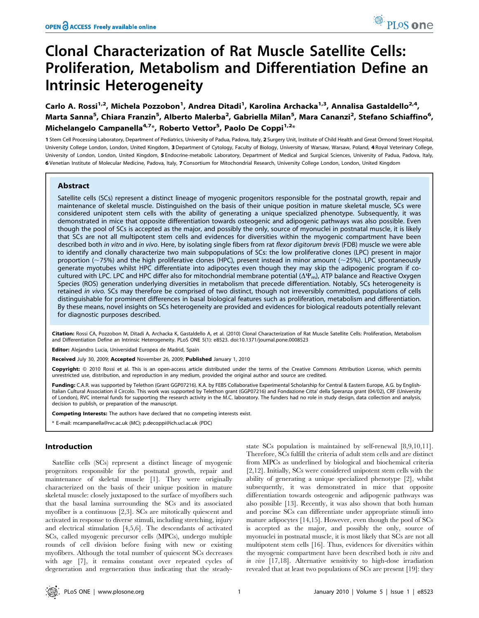# Clonal Characterization of Rat Muscle Satellite Cells: Proliferation, Metabolism and Differentiation Define an Intrinsic Heterogeneity

Carlo A. Rossi<sup>1,2</sup>, Michela Pozzobon<sup>1</sup>, Andrea Ditadi<sup>1</sup>, Karolina Archacka<sup>1,3</sup>, Annalisa Gastaldello<sup>2,4</sup>, Marta Sanna<sup>5</sup>, Chiara Franzin<sup>5</sup>, Alberto Malerba<sup>2</sup>, Gabriella Milan<sup>5</sup>, Mara Cananzi<sup>2</sup>, Stefano Schiaffino<sup>6</sup>, Michelangelo Campanella<sup>4,7</sup>\*, Roberto Vettor<sup>5</sup>, Paolo De Coppi<sup>1,2</sup>\*

1 Stem Cell Processing Laboratory, Department of Pediatrics, University of Padua, Padova, Italy, 2 Surgery Unit, Institute of Child Health and Great Ormond Street Hospital, University College London, London, United Kingdom, 3 Department of Cytology, Faculty of Biology, University of Warsaw, Warsaw, Poland, 4 Royal Veterinary College, University of London, London, United Kingdom, 5 Endocrine-metabolic Laboratory, Department of Medical and Surgical Sciences, University of Padua, Padova, Italy, 6 Venetian Institute of Molecular Medicine, Padova, Italy, 7 Consortium for Mitochondrial Research, University College London, London, United Kingdom

# Abstract

Satellite cells (SCs) represent a distinct lineage of myogenic progenitors responsible for the postnatal growth, repair and maintenance of skeletal muscle. Distinguished on the basis of their unique position in mature skeletal muscle, SCs were considered unipotent stem cells with the ability of generating a unique specialized phenotype. Subsequently, it was demonstrated in mice that opposite differentiation towards osteogenic and adipogenic pathways was also possible. Even though the pool of SCs is accepted as the major, and possibly the only, source of myonuclei in postnatal muscle, it is likely that SCs are not all multipotent stem cells and evidences for diversities within the myogenic compartment have been described both in vitro and in vivo. Here, by isolating single fibers from rat flexor digitorum brevis (FDB) muscle we were able to identify and clonally characterize two main subpopulations of SCs: the low proliferative clones (LPC) present in major proportion ( $-75%$ ) and the high proliferative clones (HPC), present instead in minor amount ( $-25%$ ). LPC spontaneously generate myotubes whilst HPC differentiate into adipocytes even though they may skip the adipogenic program if cocultured with LPC. LPC and HPC differ also for mitochondrial membrane potential ( $\Delta\Psi_m$ ), ATP balance and Reactive Oxygen Species (ROS) generation underlying diversities in metabolism that precede differentiation. Notably, SCs heterogeneity is retained in vivo. SCs may therefore be comprised of two distinct, though not irreversibly committed, populations of cells distinguishable for prominent differences in basal biological features such as proliferation, metabolism and differentiation. By these means, novel insights on SCs heterogeneity are provided and evidences for biological readouts potentially relevant for diagnostic purposes described.

Citation: Rossi CA, Pozzobon M, Ditadi A, Archacka K, Gastaldello A, et al. (2010) Clonal Characterization of Rat Muscle Satellite Cells: Proliferation, Metabolism and Differentiation Define an Intrinsic Heterogeneity. PLoS ONE 5(1): e8523. doi:10.1371/journal.pone.0008523

Editor: Alejandro Lucia, Universidad Europea de Madrid, Spain

Received July 30, 2009; Accepted November 26, 2009; Published January 1, 2010

Copyright: © 2010 Rossi et al. This is an open-access article distributed under the terms of the Creative Commons Attribution License, which permits unrestricted use, distribution, and reproduction in any medium, provided the original author and source are credited.

Funding: C.A.R. was supported by Telethon (Grant GGP07216). K.A. by FEBS Collaborative Experimental Scholarship for Central & Eastern Europe, A.G. by English-Italian Cultural Association il Circolo. This work was supported by Telethon grant (GGP07216) and Fondazione Citta' della Speranza grant (04/02), CRF (University of London), RVC internal funds for supporting the research activity in the M.C. laboratory. The funders had no role in study design, data collection and analysis, decision to publish, or preparation of the manuscript.

Competing Interests: The authors have declared that no competing interests exist.

\* E-mail: mcampanella@rvc.ac.uk (MC); p.decoppi@ich.ucl.ac.uk (PDC)

# Introduction

Satellite cells (SCs) represent a distinct lineage of myogenic progenitors responsible for the postnatal growth, repair and maintenance of skeletal muscle [1]. They were originally characterized on the basis of their unique position in mature skeletal muscle: closely juxtaposed to the surface of myofibers such that the basal lamina surrounding the SCs and its associated myofiber is a continuous [2,3]. SCs are mitotically quiescent and activated in response to diverse stimuli, including stretching, injury and electrical stimulation [4,5,6]. The descendants of activated SCs, called myogenic precursor cells (MPCs), undergo multiple rounds of cell division before fusing with new or existing myofibers. Although the total number of quiescent SCs decreases with age [7], it remains constant over repeated cycles of degeneration and regeneration thus indicating that the steadystate SCs population is maintained by self-renewal [8,9,10,11]. Therefore, SCs fulfill the criteria of adult stem cells and are distinct from MPCs as underlined by biological and biochemical criteria [2,12]. Initially, SCs were considered unipotent stem cells with the ability of generating a unique specialized phenotype [2], whilst subsequently, it was demonstrated in mice that opposite differentiation towards osteogenic and adipogenic pathways was also possible [13]. Recently, it was also shown that both human and porcine SCs can differentiate under appropriate stimuli into mature adipocytes [14,15]. However, even though the pool of SCs is accepted as the major, and possibly the only, source of myonuclei in postnatal muscle, it is most likely that SCs are not all multipotent stem cells [16]. Thus, evidences for diversities within the myogenic compartment have been described both in vitro and in vivo [17,18]. Alternative sensitivity to high-dose irradiation revealed that at least two populations of SCs are present [19]: they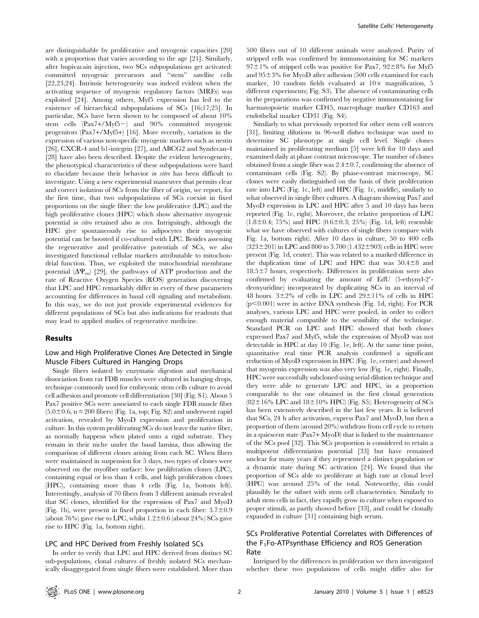are distinguishable by proliferative and myogenic capacities [20] with a proportion that varies according to the age [21]. Similarly, after bupivacain injection, two SCs subpopulations get activated: committed myogenic precursors and ''stem'' satellite cells [22,23,24]. Intrinsic heterogeneity was indeed evident when the activating sequence of myogenic regulatory factors (MRFs) was exploited [24]. Among others, Myf5 expression has led to the existence of hierarchical subpopulations of SCs [16;17;25]. In particular, SCs have been shown to be composed of about 10% stem cells  $(Pax7+/Myf5-)$  and 90% committed myogenic progenitors (Pax7+/Myf5+) [16]. More recently, variation in the expression of various non-specific myogenic markers such as nestin [26], CXCR-4 and b1-integrin [27], and ABCG2 and Syndecan-4 [28] have also been described. Despite the evident heterogeneity, the phenotypical characteristics of these subpopulations were hard to elucidate because their behavior in vitro has been difficult to investigate. Using a new experimental maneuver that permits clear and correct isolation of SCs from the fiber of origin, we report, for the first time, that two subpopulations of SCs coexist in fixed proportions on the single fiber: the low proliferative (LPC) and the high proliferative clones (HPC) which show alternative myogenic potential in vitro retained also in vivo. Intriguingly, although the HPC give spontaneously rise to adipocytes their myogenic potential can be boosted if co-cultured with LPC. Besides assessing the regenerative and proliferative potentials of SCs, we also investigated functional cellular markers attributable to mitochondrial function. Thus, we exploited the mitochondrial membrane potential  $(\Delta \Psi_{\rm m})$  [29], the pathways of ATP production and the rate of Reactive Oxygen Species (ROS) generation discovering that LPC and HPC remarkably differ in every of these parameters accounting for differences in basal cell signaling and metabolism. In this way, we do not just provide experimental evidences for different populations of SCs but also indications for readouts that may lead to applied studies of regenerative medicine.

# Results

# Low and High Proliferative Clones Are Detected in Single Muscle Fibers Cultured in Hanging Drops

Single fibers isolated by enzymatic digestion and mechanical dissociation from rat FDB muscles were cultured in hanging drops, technique commonly used for embryonic stem cells culture to avoid cell adhesion and promote cell differentiation [30] (Fig. S1). About 5 Pax7 positive SCs were associated to each single FDB muscle fiber  $(5.0\pm0.6, n = 200$  fibers) (Fig. 1a, top; Fig. S2) and underwent rapid activation, revealed by MyoD expression and proliferation in culture. In this system proliferating SCs do not leave the native fiber, as normally happens when plated onto a rigid substrate. They remain in their niche under the basal lamina, thus allowing the comparison of different clones arising from each SC. When fibers were maintained in suspension for 5 days, two types of clones were observed on the myofiber surface: low proliferation clones (LPC), containing equal or less than 4 cells, and high proliferation clones (HPC), containing more than 4 cells (Fig. 1a, bottom left). Interestingly, analysis of 70 fibers from 3 different animals revealed that SC clones, identified for the expression of Pax7 and MyoD (Fig. 1b), were present in fixed proportion in each fiber:  $3.7\pm0.9$ (about 76%) gave rise to LPC, whilst  $1.2\pm0.6$  (about 24%) SCs gave rise to HPC (Fig. 1a, bottom right).

#### LPC and HPC Derived from Freshly Isolated SCs

In order to verify that LPC and HPC derived from distinct SC sub-populations, clonal cultures of freshly isolated SCs mechanically disaggregated from single fibers were established. More than 500 fibers out of 10 different animals were analyzed. Purity of stripped cells was confirmed by immunostaining for SC markers  $97\pm1\%$  of stripped cells was positive for Pax7,  $92\pm8\%$  for Myf5 and  $95\pm3\%$  for MyoD after adhesion (500 cells examined for each marker, 10 random fields evaluated at  $10\times$  magnification, 5 different experiments; Fig. S3). The absence of contaminating cells in the preparations was confirmed by negative immunostaining for haematopoietic marker CD45, macrophage marker CD163 and endothelial marker CD31 (Fig. S4).

Similarly to what previously reported for other stem cell sources [31], limiting dilutions in 96-well dishes technique was used to determine SC phenotype at single cell level. Single clones maintained in proliferating medium [5] were left for 10 days and examined daily at phase contrast microscope. The number of clones obtained from a single fiber was  $2.4\pm0.7$ , confirming the absence of contaminant cells (Fig. S2). By phase-contrast microscopy, SC clones were easily distinguished on the basis of their proliferation rate into LPC (Fig. 1c, left) and HPC (Fig. 1c, middle), similarly to what observed in single fiber cultures. A diagram showing Pax7 and MyoD expression in LPC and HPC after 5 and 10 days has been reported (Fig. 1c, right). Moreover, the relative proportion of LPC  $(1.8\pm0.4; 75%)$  and HPC  $(0.6\pm0.3; 25%)$  (Fig. 1d, left) resemble what we have observed with cultures of single fibers (compare with Fig. 1a, bottom right). After 10 days in culture, 50 to 400 cells  $(323 \pm 201)$  in LPC and 800 to 3.700 (1.432 $\pm$ 903) cells in HPC were present (Fig. 1d, center). This was related to a marked difference in the duplication time of LPC and HPC that was  $50.4\pm8$  and  $18.5\pm7$  hours, respectively. Differences in proliferation were also confirmed by evaluating the amount of EdU  $(5$ -ethynyl-2'deoxyuridine) incorporated by duplicating SCs in an interval of 48 hours.  $3\pm2\%$  of cells in LPC and  $29\pm11\%$  of cells in HPC  $(p<0.001)$  were in active DNA synthesis (Fig. 1d, right). For PCR analyses, various LPC and HPC were pooled, in order to collect enough material compatible to the sensibility of the technique. Standard PCR on LPC and HPC showed that both clones expressed Pax7 and Myf5, while the expression of MyoD was not detectable in HPC at day 10 (Fig. 1e, left). At the same time point, quantitative real time PCR analysis confirmed a significant reduction of MyoD expression in HPC (Fig. 1e, center) and showed that myogenin expression was also very low (Fig. 1e, right). Finally, HPC were successfully subcloned using serial dilution technique and they were able to generate LPC and HPC, in a proportion comparable to the one obtained in the first clonal generation  $(82 \pm 16\% \text{ LPC and } 18 \pm 10\% \text{ HPC})$  (Fig. S5). Heterogeneity of SCs has been extensively described in the last few years. It is believed that SCs, 24 h after activation, express Pax7 and MyoD, but then a proportion of them (around 20%) withdraw from cell cycle to return in a quiescent state (Pax7+ MyoD) that is linked to the maintenance of the SCs pool [32]. This SCs proportion is considered to retain a multipotent differentiation potential [33] but have remained unclear for many years if they represented a distinct population or a dynamic state during SC activation [24]. We found that the proportion of SCs able to proliferate at high rate at clonal level (HPC) was around 25% of the total. Noteworthy, this could plausibly be the subset with stem cell characteristics. Similarly to adult stem cells in fact, they rapidly grow in culture when exposed to proper stimuli, as partly showed before [33], and could be clonally expanded in culture [31] containing high serum.

# SCs Proliferative Potential Correlates with Differences of the F1Fo-ATPsynthase Efficiency and ROS Generation Rate

Intrigued by the differences in proliferation we then investigated whether these two populations of cells might differ also for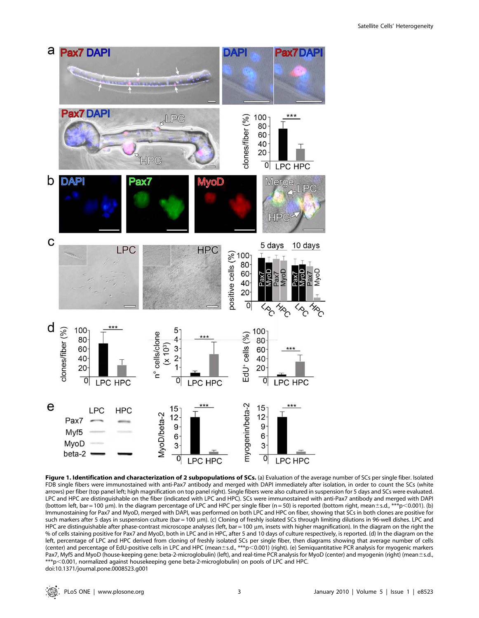

Figure 1. Identification and characterization of 2 subpopulations of SCs. (a) Evaluation of the average number of SCs per single fiber. Isolated FDB single fibers were immunostained with anti-Pax7 antibody and merged with DAPI immediately after isolation, in order to count the SCs (white arrows) per fiber (top panel left; high magnification on top panel right). Single fibers were also cultured in suspension for 5 days and SCs were evaluated. LPC and HPC are distinguishable on the fiber (indicated with LPC and HPC). SCs were immunostained with anti-Pax7 antibody and merged with DAPI (bottom left, bar = 100 µm). In the diagram percentage of LPC and HPC per single fiber (n = 50) is reported (bottom right, mean±s.d., \*\*\*p<0.001). (b) Immunostaining for Pax7 and MyoD, merged with DAPI, was performed on both LPC and HPC on fiber, showing that SCs in both clones are positive for such markers after 5 days in suspension culture (bar = 100 µm). (c) Cloning of freshly isolated SCs through limiting dilutions in 96-well dishes. LPC and HPC are distinguishable after phase-contrast microscope analyses (left, bar = 100 µm, insets with higher magnification). In the diagram on the right the % of cells staining positive for Pax7 and MyoD, both in LPC and in HPC, after 5 and 10 days of culture respectively, is reported. (d) In the diagram on the left, percentage of LPC and HPC derived from cloning of freshly isolated SCs per single fiber, then diagrams showing that average number of cells (center) and percentage of EdU-positive cells in LPC and HPC (mean $\pm$ s.d., \*\*\*p $<$ 0.001) (right). (e) Semiquantitative PCR analysis for myogenic markers Pax7, Myf5 and MyoD (house-keeping gene: beta-2-microglobulin) (left), and real-time PCR analysis for MyoD (center) and myogenin (right) (mean±s.d., \*\*\*p,0.001, normalized against housekeeping gene beta-2-microglobulin) on pools of LPC and HPC. doi:10.1371/journal.pone.0008523.g001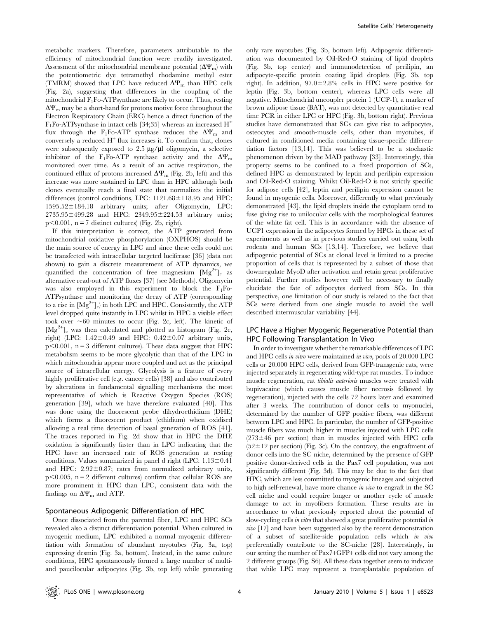metabolic markers. Therefore, parameters attributable to the efficiency of mitochondrial function were readily investigated. Assessment of the mitochondrial membrane potential  $(\Delta \Psi_{\rm m})$  with the potentiometric dye tetramethyl rhodamine methyl ester (TMRM) showed that LPC have reduced  $\Delta \Psi_{\rm m}$  than HPC cells (Fig. 2a), suggesting that differences in the coupling of the mitochondrial  $F_1F_0$ -ATPsynthase are likely to occur. Thus, resting  $\Delta \Psi_{\rm m}$  may be a short-hand for protons motive force throughout the Electron Respiratory Chain (ERC) hence a direct function of the  $F_1F_0$ -ATPsynthase in intact cells [34;35] whereas an increased H<sup>+</sup> flux through the F<sub>1</sub>Fo-ATP synthase reduces the  $\Delta \Psi_{\rm m}$  and conversely a reduced  $H^+$  flux increases it. To confirm that, clones were subsequently exposed to  $2.5 \mu g/\mu l$  oligomycin, a selective inhibitor of the F<sub>1</sub>Fo-ATP synthase activity and the  $\Delta \Psi_{\text{m}}$ monitored over time. As a result of an active respiration, the continued efflux of protons increased  $\Delta \Psi_{\text{m}}$  (Fig. 2b, left) and this increase was more sustained in LPC than in HPC although both clones eventually reach a final state that normalizes the initial differences (control conditions, LPC:  $1121.68 \pm 118.95$  and HPC:  $1595.52 \pm 184.18$  arbitrary units; after Oligomycin, LPC:  $2735.95 \pm 499.28$  and HPC:  $2349.95 \pm 224.53$  arbitrary units;  $p<0.001$ , n = 7 distinct cultures) (Fig. 2b, right).

If this interpretation is correct, the ATP generated from mitochondrial oxidative phosphorylation (OXPHOS) should be the main source of energy in LPC and since these cells could not be transfected with intracellular targeted luciferase [36] (data not shown) to gain a discrete measurement of ATP dynamics, we quantified the concentration of free magnesium  $[Mg^{2+}]_c$  as alternative read-out of ATP fluxes [37] (see Methods). Oligomycin was also employed in this experiment to block the  $F_1F_0$ -ATPsynthase and monitoring the decay of ATP (corresponding to a rise in  $[Mg^{2+}]_c$ ) in both LPC and HPC. Consistently, the ATP level dropped quite instantly in LPC whilst in HPC a visible effect took over  $\sim 60$  minutes to occur (Fig. 2c, left). The kinetic of  $[Mg^{2+}]_c$  was then calculated and plotted as histogram (Fig. 2c, right) (LPC:  $1.42\pm0.49$  and HPC:  $0.42\pm0.07$  arbitrary units,  $p<0.001$ , n = 3 different cultures). These data suggest that HPC metabolism seems to be more glycolytic than that of the LPC in which mitochondria appear more coupled and act as the principal source of intracellular energy. Glycolysis is a feature of every highly proliferative cell (e.g. cancer cells) [38] and also contributed by alterations in fundamental signalling mechanisms the most representative of which is Reactive Oxygen Species (ROS) generation [39], which we have therefore evaluated [40]. This was done using the fluorescent probe dihydroethidium (DHE) which forms a fluorescent product (ethidium) when oxidised allowing a real time detection of basal generation of ROS [41]. The traces reported in Fig. 2d show that in HPC the DHE oxidation is significantly faster than in LPC indicating that the HPC have an increased rate of ROS generation at resting conditions. Values summarized in panel d right (LPC:  $1.13 \pm 0.41$ and HPC:  $2.92 \pm 0.87$ ; rates from normalized arbitrary units,  $p<0.005$ , n = 2 different cultures) confirm that cellular ROS are more prominent in HPC than LPC, consistent data with the findings on  $\Delta \Psi_{\rm m}$  and ATP.

### Spontaneous Adipogenic Differentiation of HPC

Once dissociated from the parental fiber, LPC and HPC SCs revealed also a distinct differentiation potential. When cultured in myogenic medium, LPC exhibited a normal myogenic differentiation with formation of abundant myotubes (Fig. 3a, top) expressing desmin (Fig. 3a, bottom). Instead, in the same culture conditions, HPC spontaneously formed a large number of multiand paucilocular adipocytes (Fig. 3b, top left) while generating only rare myotubes (Fig. 3b, bottom left). Adipogenic differentiation was documented by Oil-Red-O staining of lipid droplets (Fig. 3b, top center) and immunodetection of perilipin, an adipocyte-specific protein coating lipid droplets (Fig. 3b, top right). In addition,  $97.0 \pm 2.8\%$  cells in HPC were positive for leptin (Fig. 3b, bottom center), whereas LPC cells were all negative. Mitochondrial uncoupler protein 1 (UCP-1), a marker of brown adipose tissue (BAT), was not detected by quantitative real time PCR in either LPC or HPC (Fig. 3b, bottom right). Previous studies have demonstrated that SCs can give rise to adipocytes, osteocytes and smooth-muscle cells, other than myotubes, if cultured in conditioned media containing tissue-specific differentiation factors [13,14]. This was believed to be a stochastic phenomenon driven by the MAD pathway [33]. Interestingly, this property seems to be confined to a fixed proportion of SCs, defined HPC as demonstrated by leptin and perilipin expression and Oil-Red-O staining. Whilst Oil-Red-O is not strictly specific for adipose cells [42], leptin and perilipin expression cannot be found in myogenic cells. Moreover, differently to what previously demonstrated [43], the lipid droplets inside the cytoplasm tend to fuse giving rise to unilocular cells with the morphological features of the white fat cell. This is in accordance with the absence of UCP1 expression in the adipocytes formed by HPCs in these set of experiments as well as in previous studies carried out using both rodents and human SCs [13,14]. Therefore, we believe that adipogenic potential of SCs at clonal level is limited to a precise proportion of cells that is represented by a subset of those that downregulate MyoD after activation and retain great proliferative potential. Further studies however will be necessary to finally elucidate the fate of adipocytes derived from SCs. In this perspective, one limitation of our study is related to the fact that SCs were derived from one single muscle to avoid the well described intermuscular variability [44].

# LPC Have a Higher Myogenic Regenerative Potential than HPC Following Transplantation In Vivo

In order to investigate whether the remarkable differences of LPC and HPC cells in vitro were maintained in vivo, pools of 20.000 LPC cells or 20.000 HPC cells, derived from GFP-transgenic rats, were injected separately in regenerating wild-type rat muscles. To induce muscle regeneration, rat tibialis anterioris muscles were treated with bupivacaine (which causes muscle fiber necrosis followed by regeneration), injected with the cells 72 hours later and examined after 3 weeks. The contribution of donor cells to myonuclei, determined by the number of GFP positive fibers, was different between LPC and HPC. In particular, the number of GFP-positive muscle fibers was much higher in muscles injected with LPC cells  $(273±46$  per section) than in muscles injected with HPC cells  $(52\pm12)$  per section) (Fig. 3c). On the contrary, the engraftment of donor cells into the SC niche, determined by the presence of GFP positive donor-derived cells in the Pax7 cell population, was not significantly different (Fig. 3d). This may be due to the fact that HPC, which are less committed to myogenic lineages and subjected to high self-renewal, have more chance in vivo to engraft in the SC cell niche and could require longer or another cycle of muscle damage to act in myofibers formation. These results are in accordance to what previously reported about the potential of slow-cycling cells in vitro that showed a great proliferative potential in vivo [17] and have been suggested also by the recent demonstration of a subset of satellite-side population cells which in vivo preferentially contribute to the SC-niche [28]. Interestingly, in our setting the number of Pax7+GFP+ cells did not vary among the 2 different groups (Fig. S6). All these data together seem to indicate that while LPC may represent a transplantable population of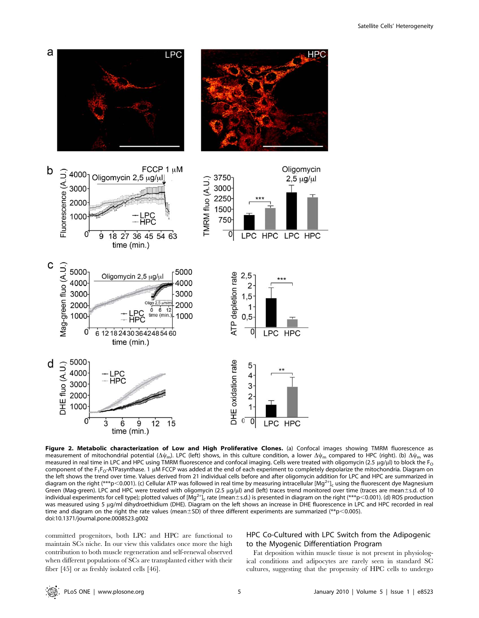

Figure 2. Metabolic characterization of Low and High Proliferative Clones. (a) Confocal images showing TMRM fluorescence as measurement of mitochondrial potential ( $\Delta\psi_m$ ). LPC (left) shows, in this culture condition, a lower  $\Delta\psi_m$  compared to HPC (right). (b)  $\Delta\psi_m$  was measured in real time in LPC and HPC using TMRM fluorescence and confocal imaging. Cells were treated with oligomycin (2.5 µg/µl) to block the F<sub>O</sub> component of the  $F_1F_0$ -ATPasynthase. 1  $\mu\overline{M}$  FCCP was added at the end of each experiment to completely depolarize the mitochondria. Diagram on the left shows the trend over time. Values derived from 21 individual cells before and after oligomycin addition for LPC and HPC are summarized in diagram on the right (\*\*\*p<0.001). (c) Cellular ATP was followed in real time by measuring intracellular [Mg<sup>2+</sup>]<sub>c</sub> using the fluorescent dye Magnesium Green (Mag-green). LPC and HPC were treated with oligomycin (2.5 µg/µl) and (left) traces trend monitored over time (traces are mean±s.d. of 10 individual experiments for cell type); plotted values of [M̄g<sup>2+</sup>]<sub>c</sub> rate (mean±s.d.) is presented in diagram on the right (\*\*\*p<0.001). (d) ROS production was measured using 5 µg/ml dihydroethidium (DHE). Diagram on the left shows an increase in DHE fluorescence in LPC and HPC recorded in real time and diagram on the right the rate values (mean $\pm$ SD) of three different experiments are summarized (\*\*p $<$ 0.005). doi:10.1371/journal.pone.0008523.g002

committed progenitors, both LPC and HPC are functional to maintain SCs niche. In our view this validates once more the high contribution to both muscle regeneration and self-renewal observed when different populations of SCs are transplanted either with their fiber [45] or as freshly isolated cells [46].

# HPC Co-Cultured with LPC Switch from the Adipogenic to the Myogenic Differentiation Program

Fat deposition within muscle tissue is not present in physiological conditions and adipocytes are rarely seen in standard SC cultures, suggesting that the propensity of HPC cells to undergo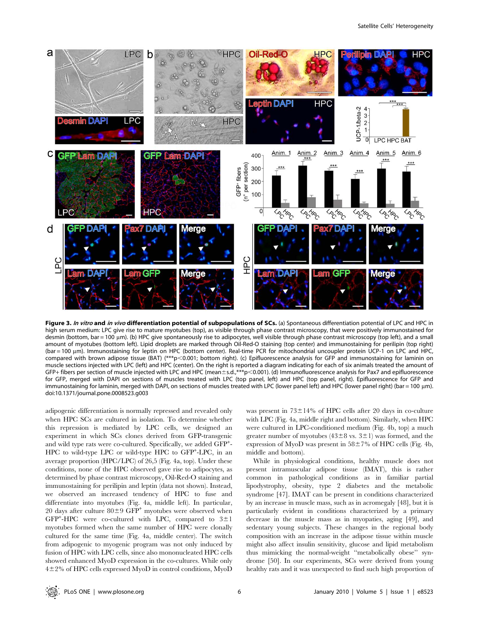

Figure 3. In vitro and in vivo differentiation potential of subpopulations of SCs. (a) Spontaneous differentiation potential of LPC and HPC in high serum medium: LPC give rise to mature myotubes (top), as visible through phase contrast microscopy, that were positively immunostained for desmin (bottom, bar = 100 µm). (b) HPC give spontaneously rise to adipocytes, well visible through phase contrast microscopy (top left), and a small amount of myotubes (bottom left). Lipid droplets are marked through Oil-Red-O staining (top center) and immunostaining for perilipin (top right) (bar = 100 µm). Immunostaining for leptin on HPC (bottom center). Real-time PCR for mitochondrial uncoupler protein UCP-1 on LPC and HPC, compared with brown adipose tissue (BAT) (\*\*\*p<0.001; bottom right). (c) Epifluorescence analysis for GFP and immunostaining for laminin on muscle sections injected with LPC (left) and HPC (center). On the right is reported a diagram indicating for each of six animals treated the amount of GFP+ fibers per section of muscle injected with LPC and HPC (mean ±s.d.,\*\*\*p<0.001). (d) Immunofluorescence analysis for Pax7 and epifluorescence for GFP, merged with DAPI on sections of muscles treated with LPC (top panel, left) and HPC (top panel, right). Epifluorescence for GFP and immunostaining for laminin, merged with DAPI, on sections of muscles treated with LPC (lower panel left) and HPC (lower panel right) (bar = 100 μm). doi:10.1371/journal.pone.0008523.g003

adipogenic differentiation is normally repressed and revealed only when HPC SCs are cultured in isolation. To determine whether this repression is mediated by LPC cells, we designed an experiment in which SCs clones derived from GFP-transgenic and wild type rats were co-cultured. Specifically, we added GFP<sup>+</sup>-HPC to wild-type LPC or wild-type HPC to GFP<sup>+</sup>-LPC, in an average proportion (HPC/LPC) of 26,5 (Fig. 4a, top). Under these conditions, none of the HPC observed gave rise to adipocytes, as determined by phase contrast microscopy, Oil-Red-O staining and immunostaining for perilipin and leptin (data not shown). Instead, we observed an increased tendency of HPC to fuse and differentiate into myotubes (Fig. 4a, middle left). In particular, 20 days after culture  $80 \pm 9$  GFP<sup>+</sup> myotubes were observed when GFP<sup>+</sup>-HPC were co-cultured with LPC, compared to  $3\pm1$ myotubes formed when the same number of HPC were clonally cultured for the same time (Fig. 4a, middle center). The switch from adipogenic to myogenic program was not only induced by fusion of HPC with LPC cells, since also mononucleated HPC cells showed enhanced MyoD expression in the co-cultures. While only  $4\pm2\%$  of HPC cells expressed MyoD in control conditions, MyoD was present in  $73\pm14\%$  of HPC cells after 20 days in co-culture with LPC (Fig. 4a, middle right and bottom). Similarly, when HPC were cultured in LPC-conditioned medium (Fig. 4b, top) a much greater number of myotubes ( $43\pm8$  vs.  $3\pm1$ ) was formed, and the expression of MyoD was present in  $58\pm7\%$  of HPC cells (Fig. 4b, middle and bottom).

While in physiological conditions, healthy muscle does not present intramuscular adipose tissue (IMAT), this is rather common in pathological conditions as in familiar partial lipodystrophy, obesity, type 2 diabetes and the metabolic syndrome [47]. IMAT can be present in conditions characterized by an increase in muscle mass, such as in acromegaly [48], but it is particularly evident in conditions characterized by a primary decrease in the muscle mass as in myopaties, aging [49], and sedentary young subjects. These changes in the regional body composition with an increase in the adipose tissue within muscle might also affect insulin sensitivity, glucose and lipid metabolism thus mimicking the normal-weight ''metabolically obese'' syndrome [50]. In our experiments, SCs were derived from young healthy rats and it was unexpected to find such high proportion of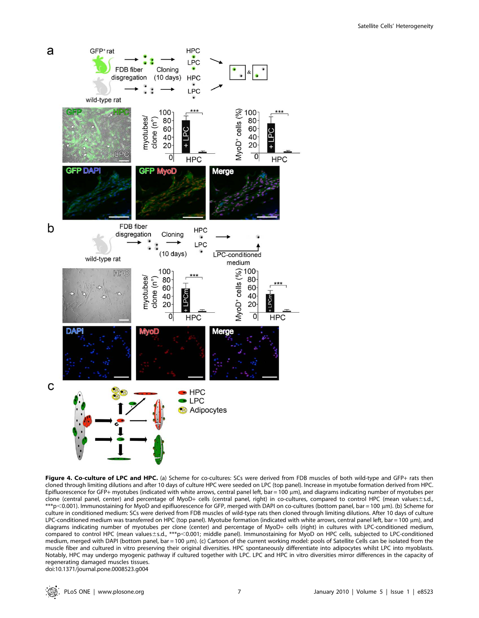

Figure 4. Co-culture of LPC and HPC. (a) Scheme for co-cultures: SCs were derived from FDB muscles of both wild-type and GFP+ rats then cloned through limiting dilutions and after 10 days of culture HPC were seeded on LPC (top panel). Increase in myotube formation derived from HPC. Epifluorescence for GFP+ myotubes (indicated with white arrows, central panel left, bar = 100  $\mu$ m), and diagrams indicating number of myotubes per clone (central panel, center) and percentage of MyoD+ cells (central panel, right) in co-cultures, compared to control HPC (mean values±s.d., \*\*\*p<0.001). Immunostaining for MyoD and epifluorescence for GFP, merged with DAPI on co-cultures (bottom panel, bar = 100 µm). (b) Scheme for culture in conditioned medium: SCs were derived from FDB muscles of wild-type rats then cloned through limiting dilutions. After 10 days of culture LPC-conditioned medium was transferred on HPC (top panel). Myotube formation (indicated with white arrows, central panel left, bar = 100 µm), and diagrams indicating number of myotubes per clone (center) and percentage of MyoD+ cells (right) in cultures with LPC-conditioned medium, compared to control HPC (mean values±s.d., \*\*\*p<0.001; middle panel). Immunostaining for MyoD on HPC cells, subjected to LPC-conditioned medium, merged with DAPI (bottom panel, bar = 100 µm). (c) Cartoon of the current working model: pools of Satellite Cells can be isolated from the muscle fiber and cultured in vitro preserving their original diversities. HPC spontaneously differentiate into adipocytes whilst LPC into myoblasts. Notably, HPC may undergo myogenic pathway if cultured together with LPC. LPC and HPC in vitro diversities mirror differences in the capacity of regenerating damaged muscles tissues. doi:10.1371/journal.pone.0008523.g004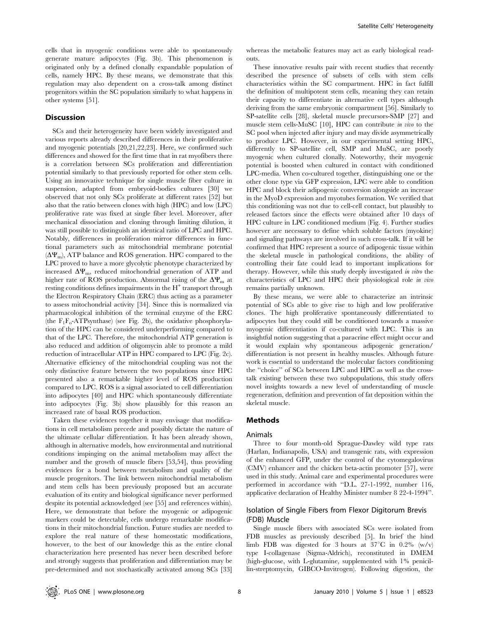cells that in myogenic conditions were able to spontaneously generate mature adipocytes (Fig. 3b). This phenomenon is originated only by a defined clonally expandable population of cells, namely HPC. By these means, we demonstrate that this regulation may also dependent on a cross-talk among distinct progenitors within the SC population similarly to what happens in other systems [51].

#### Discussion

SCs and their heterogeneity have been widely investigated and various reports already described differences in their proliferative and myogenic potentials [20,21,22,23]. Here, we confirmed such differences and showed for the first time that in rat myofibers there is a correlation between SCs proliferation and differentiation potential similarly to that previously reported for other stem cells. Using an innovative technique for single muscle fiber culture in suspension, adapted from embryoid-bodies cultures [30] we observed that not only SCs proliferate at different rates [52] but also that the ratio between clones with high (HPC) and low (LPC) proliferative rate was fixed at single fiber level. Moreover, after mechanical dissociation and cloning through limiting dilution, it was still possible to distinguish an identical ratio of LPC and HPC. Notably, differences in proliferation mirror differences in functional parameters such as mitochondrial membrane potential  $(\Delta \Psi_{\rm m})$ , ATP balance and ROS generation. HPC compared to the LPC proved to have a more glycolytic phenotype characterized by increased  $\Delta \Psi_{\rm m}$ , reduced mitochondrial generation of ATP and higher rate of ROS production. Abnormal rising of the  $\Delta \Psi_{\rm m}$  at resting conditions defines impairments in the  $H^+$  transport through the Electron Respiratory Chain (ERC) thus acting as a parameter to assess mitochondrial activity [34]. Since this is normalized via pharmacological inhibition of the terminal enzyme of the ERC (the  $F_1F_0$ -ATPsynthase) (see Fig. 2b), the oxidative phosphorylation of the HPC can be considered underperforming compared to that of the LPC. Therefore, the mitochondrial ATP generation is also reduced and addition of oligomycin able to promote a mild reduction of intracellular ATP in HPC compared to LPC (Fig. 2c). Alternative efficiency of the mitochondrial coupling was not the only distinctive feature between the two populations since HPC presented also a remarkable higher level of ROS production compared to LPC. ROS is a signal associated to cell differentiation into adipocytes [40] and HPC which spontaneously differentiate into adipocytes (Fig. 3b) show plausibly for this reason an increased rate of basal ROS production.

Taken these evidences together it may envisage that modifications in cell metabolism precede and possibly dictate the nature of the ultimate cellular differentiation. It has been already shown, although in alternative models, how environmental and nutritional conditions impinging on the animal metabolism may affect the number and the growth of muscle fibers [53,54], thus providing evidences for a bond between metabolism and quality of the muscle progenitors. The link between mitochondrial metabolism and stem cells has been previously proposed but an accurate evaluation of its entity and biological significance never performed despite its potential acknowledged (see [55] and references within). Here, we demonstrate that before the myogenic or adipogenic markers could be detectable, cells undergo remarkable modifications in their mitochondrial function. Future studies are needed to explore the real nature of these homeostatic modifications, however, to the best of our knowledge this as the entire clonal characterization here presented has never been described before and strongly suggests that proliferation and differentiation may be pre-determined and not stochastically activated among SCs [33]

whereas the metabolic features may act as early biological readouts.

These innovative results pair with recent studies that recently described the presence of subsets of cells with stem cells characteristics within the SC compartment. HPC in fact fulfill the definition of multipotent stem cells, meaning they can retain their capacity to differentiate in alternative cell types although deriving from the same embryonic compartment [56]. Similarly to SP-satellite cells [28], skeletal muscle precursors-SMP [27] and muscle stem cells-MuSC [10], HPC can contribute in vivo to the SC pool when injected after injury and may divide asymmetrically to produce LPC. However, in our experimental setting HPC, differently to SP-satellite cell, SMP and MuSC, are poorly myogenic when cultured clonally. Noteworthy, their myogenic potential is boosted when cultured in contact with conditioned LPC-media. When co-cultured together, distinguishing one or the other clone type via GFP expression, LPC were able to condition HPC and block their adipogenic conversion alongside an increase in the MyoD expression and myotubes formation. We verified that this conditioning was not due to cell-cell contact, but plausibly to released factors since the effects were obtained after 10 days of HPC culture in LPC conditioned medium (Fig. 4). Further studies however are necessary to define which soluble factors (myokine) and signaling pathways are involved in such cross-talk. If it will be confirmed that HPC represent a source of adipogenic tissue within the skeletal muscle in pathological conditions, the ability of controlling their fate could lead to important implications for therapy. However, while this study deeply investigated in vitro the characteristics of LPC and HPC their physiological role in vivo remains partially unknown.

By these means, we were able to characterize an intrinsic potential of SCs able to give rise to high and low proliferative clones. The high proliferative spontaneously differentiated to adipocytes but they could still be conditioned towards a massive myogenic differentiation if co-cultured with LPC. This is an insightful notion suggesting that a paracrine effect might occur and it would explain why spontaneous adipogenic generation/ differentiation is not present in healthy muscles. Although future work is essential to understand the molecular factors conditioning the ''choice'' of SCs between LPC and HPC as well as the crosstalk existing between these two subpopulations, this study offers novel insights towards a new level of understanding of muscle regeneration, definition and prevention of fat deposition within the skeletal muscle.

#### Methods

#### Animals

Three to four month-old Sprague-Dawley wild type rats (Harlan, Indianapolis, USA) and transgenic rats, with expression of the enhanced GFP, under the control of the cytomegalovirus (CMV) enhancer and the chicken beta-actin promoter [57], were used in this study. Animal care and experimental procedures were performed in accordance with ''D.L. 27-1-1992, number 116, applicative declaration of Healthy Minister number 8 22-4-1994''.

# Isolation of Single Fibers from Flexor Digitorum Brevis (FDB) Muscle

Single muscle fibers with associated SCs were isolated from FDB muscles as previously described [5]. In brief the hind limb FDB was digested for 3 hours at  $37^{\circ}$ C in 0.2% (w/v) type I-collagenase (Sigma-Aldrich), reconstituted in DMEM (high-glucose, with L-glutamine, supplemented with 1% penicillin-streptomycin, GIBCO-Invitrogen). Following digestion, the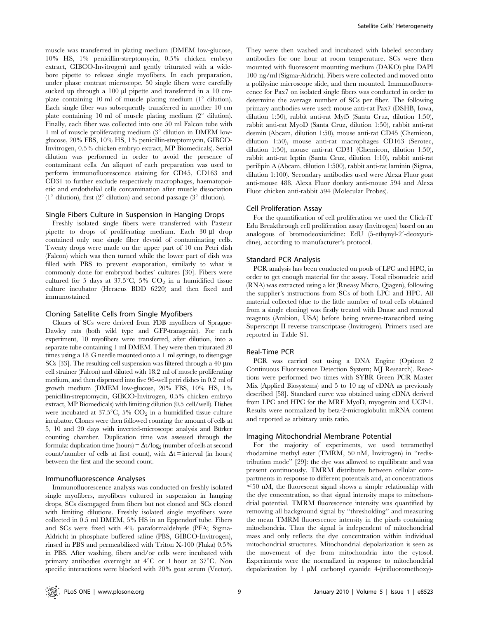muscle was transferred in plating medium (DMEM low-glucose, 10% HS, 1% penicillin-streptomycin, 0.5% chicken embryo extract, GIBCO-Invitrogen) and gently triturated with a widebore pipette to release single myofibers. In each preparation, under phase contrast microscope, 50 single fibers were carefully sucked up through a 100 µl pipette and transferred in a 10 cmplate containing 10 ml of muscle plating medium  $(1^{\circ}$  dilution). Each single fiber was subsequently transferred in another 10 cm plate containing 10 ml of muscle plating medium  $(2^{\circ}$  dilution). Finally, each fiber was collected into one 50 ml Falcon tube with 1 ml of muscle proliferating medium  $(3^{\circ}$  dilution in DMEM lowglucose, 20% FBS, 10% HS, 1% penicillin-streptomycin, GIBCO-Invitrogen, 0.5% chicken embryo extract, MP Biomedicals). Serial dilution was performed in order to avoid the presence of contaminant cells. An aliquot of each preparation was used to perform immunofluorescence staining for CD45, CD163 and CD31 to further exclude respectively macrophages, haematopoietic and endothelial cells contamination after muscle dissociation (1<sup>o</sup> dilution), first (2<sup>o</sup> dilution) and second passage (3<sup>o</sup> dilution).

#### Single Fibers Culture in Suspension in Hanging Drops

Freshly isolated single fibers were transferred with Pasteur pipette to drops of proliferating medium. Each  $30 \mu l$  drop contained only one single fiber devoid of contaminating cells. Twenty drops were made on the upper part of 10 cm Petri dish (Falcon) which was then turned while the lower part of dish was filled with PBS to prevent evaporation, similarly to what is commonly done for embryoid bodies' cultures [30]. Fibers were cultured for 5 days at 37.5°C, 5%  $CO<sub>2</sub>$  in a humidified tissue culture incubator (Heraeus BDD 6220) and then fixed and immunostained.

#### Cloning Satellite Cells from Single Myofibers

Clones of SCs were derived from FDB myofibers of Sprague-Dawley rats (both wild type and GFP-transgenic). For each experiment, 10 myofibers were transferred, after dilution, into a separate tube containing 1 ml DMEM. They were then triturated 20 times using a 18 G needle mounted onto a 1 ml syringe, to disengage SCs [33]. The resulting cell suspension was filtered through a 40  $\mu$ m cell strainer (Falcon) and diluted with 18.2 ml of muscle proliferating medium, and then dispensed into five 96-well petri dishes in 0.2 ml of growth medium (DMEM low-glucose, 20% FBS, 10% HS, 1% penicillin-streptomycin, GIBCO-Invitrogen, 0.5% chicken embryo extract, MP Biomedicals) with limiting dilution (0.5 cell/well). Dishes were incubated at 37.5°C, 5%  $CO_2$  in a humidified tissue culture incubator. Clones were then followed counting the amount of cells at 5, 10 and 20 days with inverted-microscope analysis and Bürker counting chamber. Duplication time was assessed through the formula: duplication time (hours) =  $\Delta t / \log_2$  (number of cells at second count/number of cells at first count), with  $\Delta t$  = interval (in hours) between the first and the second count.

#### Immunofluorescence Analyses

Immunofluorescence analysis was conducted on freshly isolated single myofibers, myofibers cultured in suspension in hanging drops, SCs disengaged from fibers but not cloned and SCs cloned with limiting dilutions. Freshly isolated single myofibers were collected in 0.5 ml DMEM, 5% HS in an Eppendorf tube. Fibers and SCs were fixed with 4% paraformaldehyde (PFA; Sigma-Aldrich) in phosphate buffered saline (PBS, GIBCO-Invitrogen), rinsed in PBS and permeabilized with Triton X-100 (Fluka) 0.5% in PBS. After washing, fibers and/or cells were incubated with primary antibodies overnight at  $4^{\circ}C$  or 1 hour at  $37^{\circ}C$ . Non specific interactions were blocked with 20% goat serum (Vector).

They were then washed and incubated with labeled secondary antibodies for one hour at room temperature. SCs were then mounted with fluorescent mounting medium (DAKO) plus DAPI 100 ng/ml (Sigma-Aldrich). Fibers were collected and moved onto a polilysine microscope slide, and then mounted. Immunofluorescence for Pax7 on isolated single fibers was conducted in order to determine the average number of SCs per fiber. The following primary antibodies were used: mouse anti-rat Pax7 (DSHB, Iowa, dilution 1:50), rabbit anti-rat Myf5 (Santa Cruz, dilution 1:50), rabbit anti-rat MyoD (Santa Cruz, dilution 1:50), rabbit anti-rat desmin (Abcam, dilution 1:50), mouse anti-rat CD45 (Chemicon, dilution 1:50), mouse anti-rat macrophages CD163 (Serotec, dilution 1:50), mouse anti-rat CD31 (Chemicon, dilution 1:50), rabbit anti-rat leptin (Santa Cruz, dilution 1:10), rabbit anti-rat perilipin A (Abcam, dilution 1:500), rabbit anti-rat laminin (Sigma, dilution 1:100). Secondary antibodies used were Alexa Fluor goat anti-mouse 488, Alexa Fluor donkey anti-mouse 594 and Alexa Fluor chicken anti-rabbit 594 (Molecular Probes).

#### Cell Proliferation Assay

For the quantification of cell proliferation we used the Click-iT Edu Breakthrough cell proliferation assay (Invitrogen) based on an analogous of bromodeoxiuridine: EdU (5-ethynyl-2'-deoxyuridine), according to manufacturer's protocol.

#### Standard PCR Analysis

PCR analysis has been conducted on pools of LPC and HPC, in order to get enough material for the assay. Total ribonucleic acid (RNA) was extracted using a kit (Rneasy Micro, Qiagen), following the supplier's instructions from SCs of both LPC and HPC. All material collected (due to the little number of total cells obtained from a single cloning) was firstly treated with Dnase and removal reagents (Ambion, USA) before being reverse-transcribed using Superscript II reverse transcriptase (Invitrogen). Primers used are reported in Table S1.

#### Real-Time PCR

PCR was carried out using a DNA Engine (Opticon 2 Continuous Fluorescence Detection System; MJ Research). Reactions were performed two times with SYBR Green PCR Master Mix (Applied Biosystems) and 5 to 10 ng of cDNA as previously described [58]. Standard curve was obtained using cDNA derived from LPC and HPC for the MRF MyoD, myogenin and UCP-1. Results were normalized by beta-2-microglobulin mRNA content and reported as arbitrary units ratio.

#### Imaging Mitochondrial Membrane Potential

For the majority of experiments, we used tetramethyl rhodamine methyl ester (TMRM, 50 nM, Invitrogen) in ''redistribution mode'' [29]: the dye was allowed to equilibrate and was present continuously. TMRM distributes between cellular compartments in response to different potentials and, at concentrations  $\leq$ 50 nM, the fluorescent signal shows a simple relationship with the dye concentration, so that signal intensity maps to mitochondrial potential. TMRM fluorescence intensity was quantified by removing all background signal by ''thresholding'' and measuring the mean TMRM fluorescence intensity in the pixels containing mitochondria. Thus the signal is independent of mitochondrial mass and only reflects the dye concentration within individual mitochondrial structures. Mitochondrial depolarization is seen as the movement of dye from mitochondria into the cytosol. Experiments were the normalized in response to mitochondrial depolarization by 1  $\mu$ M carbonyl cyanide 4-(trifluoromethoxy)-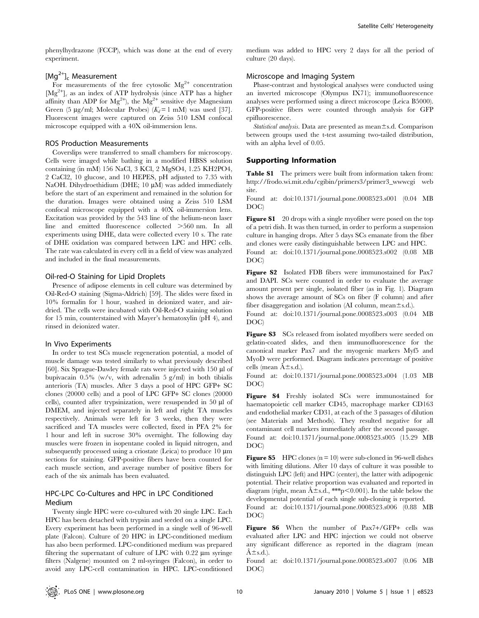phenylhydrazone (FCCP), which was done at the end of every experiment.

# [Mg<sup>2+</sup>]<sub>c</sub> Measurement

For measurements of the free cytosolic  $Mg^{2+}$  concentration  $[Mg^{2+}]_c$  as an index of ATP hydrolysis (since ATP has a higher affinity than ADP for  $Mg^{2+}$ , the  $Mg^{2+}$  sensitive dye Magnesium Green (5 µg/ml; Molecular Probes)  $(K_d=1 \text{ mM})$  was used [37]. Fluorescent images were captured on Zeiss 510 LSM confocal microscope equipped with a 40X oil-immersion lens.

#### ROS Production Measurements

Coverslips were transferred to small chambers for microscopy. Cells were imaged while bathing in a modified HBSS solution containing (in mM) 156 NaCl, 3 KCl, 2 MgSO4, 1.25 KH2PO4, 2 CaCl2, 10 glucose, and 10 HEPES, pH adjusted to 7.35 with NaOH. Dihydroethidium (DHE; 10 µM) was added immediately before the start of an experiment and remained in the solution for the duration. Images were obtained using a Zeiss 510 LSM confocal microscope equipped with a 40X oil-immersion lens. Excitation was provided by the 543 line of the helium-neon laser line and emitted fluorescence collected  $>560$  nm. In all experiments using DHE, data were collected every 10 s. The rate of DHE oxidation was compared between LPC and HPC cells. The rate was calculated in every cell in a field of view was analyzed and included in the final measurements.

### Oil-red-O Staining for Lipid Droplets

Presence of adipose elements in cell culture was determined by Oil-Red-O staining (Sigma-Aldrich) [59]. The slides were fixed in 10% formalin for 1 hour, washed in deionized water, and airdried. The cells were incubated with Oil-Red-O staining solution for 15 min, counterstained with Mayer's hematoxylin (pH 4), and rinsed in deionized water.

#### In Vivo Experiments

In order to test SCs muscle regeneration potential, a model of muscle damage was tested similarly to what previously described [60]. Six Sprague-Dawley female rats were injected with  $150 \mu$  of bupivacain 0.5% (w/v, with adrenalin 5 g/ml) in both tibialis anterioris (TA) muscles. After 3 days a pool of HPC GFP+ SC clones (20000 cells) and a pool of LPC GFP+ SC clones (20000 cells), counted after trypsinization, were resuspended in 50 µl of DMEM, and injected separately in left and right TA muscles respectively. Animals were left for 3 weeks, then they were sacrificed and TA muscles were collected, fixed in PFA 2% for 1 hour and left in sucrose 30% overnight. The following day muscles were frozen in isopentane cooled in liquid nitrogen, and subsequently processed using a criostate (Leica) to produce 10  $\mu$ m sections for staining. GFP-positive fibers have been counted for each muscle section, and average number of positive fibers for each of the six animals has been evaluated.

# HPC-LPC Co-Cultures and HPC in LPC Conditioned Medium

Twenty single HPC were co-cultured with 20 single LPC. Each HPC has been detached with trypsin and seeded on a single LPC. Every experiment has been performed in a single well of 96-well plate (Falcon). Culture of 20 HPC in LPC-conditioned medium has also been performed. LPC-conditioned medium was prepared filtering the supernatant of culture of LPC with  $0.22 \mu m$  syringe filters (Nalgene) mounted on 2 ml-syringes (Falcon), in order to avoid any LPC-cell contamination in HPC. LPC-conditioned

medium was added to HPC very 2 days for all the period of culture (20 days).

# Microscope and Imaging System

Phase-contrast and hystological analyses were conducted using an inverted microscope (Olympus IX71); immunofluorescence analyses were performed using a direct microscope (Leica B5000). GFP-positive fibers were counted through analysis for GFP epifluorescence.

Statistical analysis. Data are presented as mean $\pm$ s.d. Comparison between groups used the t-test assuming two-tailed distribution, with an alpha level of 0.05.

# Supporting Information

Table S1 The primers were built from information taken from: http://frodo.wi.mit.edu/cgibin/primers3/primer3\_wwwcgi web site.

Found at: doi:10.1371/journal.pone.0008523.s001 (0.04 MB DOC)

**Figure S1** 20 drops with a single myofiber were posed on the top of a petri dish. It was then turned, in order to perform a suspension culture in hanging drops. After 5 days SCs emanate from the fiber and clones were easily distinguishable between LPC and HPC.

Found at: doi:10.1371/journal.pone.0008523.s002 (0.08 MB DOC)

Figure S2 Isolated FDB fibers were immunostained for Pax7 and DAPI. SCs were counted in order to evaluate the average amount present per single, isolated fiber (as in Fig. 1). Diagram shows the average amount of SCs on fiber (F column) and after fiber disaggregation and isolation (AI column, mean $\pm$ s.d.).

Found at: doi:10.1371/journal.pone.0008523.s003 (0.04 MB DOC)

Figure S3 SCs released from isolated myofibers were seeded on gelatin-coated slides, and then immunofluorescence for the canonical marker Pax7 and the myogenic markers Myf5 and MyoD were performed. Diagram indicates percentage of positive cells (mean  $\hat{A} \pm s.d.$ ).

Found at: doi:10.1371/journal.pone.0008523.s004 (1.03 MB DOC)

Figure S4 Freshly isolated SCs were immunostained for haematopoietic cell marker CD45, macrophage marker CD163 and endothelial marker CD31, at each of the 3 passages of dilution (see Materials and Methods). They resulted negative for all contaminant cell markers immediately after the second passage. Found at: doi:10.1371/journal.pone.0008523.s005 (15.29 MB DOC)

**Figure S5** HPC clones  $(n = 10)$  were sub-cloned in 96-well dishes with limiting dilutions. After 10 days of culture it was possible to distinguish LPC (left) and HPC (center), the latter with adipogenic potential. Their relative proportion was evaluated and reported in diagram (right, mean  $\hat{A} \pm s.d.,$  \*\*\*p $\leq 0.001$ ). In the table below the developmental potential of each single sub-cloning is reported.

Found at: doi:10.1371/journal.pone.0008523.s006 (0.88 MB DOC)

Figure S6 When the number of Pax7+/GFP+ cells was evaluated after LPC and HPC injection we could not observe any significant difference as reported in the diagram (mean  $\hat{A} \pm s.d.$ ).

Found at: doi:10.1371/journal.pone.0008523.s007 (0.06 MB DOC)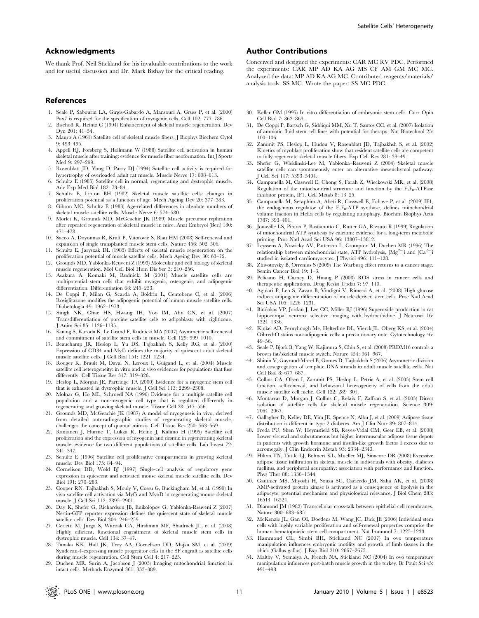# Acknowledgments

We thank Prof. Neil Stickland for his invaluable contributions to the work and for useful discussion and Dr. Mark Bishay for the critical reading.

#### References

- 1. Seale P, Sabourin LA, Girgis-Gabardo A, Mansouri A, Gruss P, et al. (2000) Pax7 is required for the specification of myogenic cells. Cell 102: 777–786.
- 2. Bischoff R, Heintz C (1994) Enhancement of skeletal muscle regeneration. Dev Dyn 201: 41–54.
- 3. Mauro A (1961) Satellite cell of skeletal muscle fibers. J Biophys Biochem Cytol 9: 493–495.
- 4. Appell HJ, Forsberg S, Hollmann W (1988) Satellite cell activation in human skeletal muscle after training: evidence for muscle fiber neoformation. Int J Sports Med 9: 297–299.
- 5. Rosenblatt JD, Yong D, Parry DJ (1994) Satellite cell activity is required for hypertrophy of overloaded adult rat muscle. Muscle Nerve 17: 608–613.
- 6. Schultz E (1985) Satellite cell in normal, regenerating and dystrophic muscle. Adv Exp Med Biol 182: 73–84.
- 7. Schultz E, Lipton BH (1982) Skeletal muscle satellite cells: changes in proliferation potential as a function of age. Mech Ageing Dev 20: 377–383.
- 8. Gibson MC, Schultz E (1983) Age-related differences in absolute numbers of skeletal muscle satellite cells. Muscle Nerve 6: 574–580.
- 9. Morlet K, Grounds MD, McGeachie JK (1989) Muscle precursor replication after repeated regeneration of skeletal muscle in mice. Anat Embryol (Berl) 180: 471–478.
- 10. Sacco A, Doyonnas R, Kraft P, Vitorovic S, Blau HM (2008) Self-renewal and expansion of single transplanted muscle stem cells. Nature 456: 502–506.
- 11. Schultz E, Jaryszak DL (1985) Effects of skeletal muscle regeneration on the proliferation potential of muscle satellite cells. Mech Ageing Dev 30: 63–72.
- 12. Grounds MD, Yablonka-Reuveni Z (1993) Molecular and cell biology of skeletal muscle regeneration. Mol Cell Biol Hum Dis Ser 3: 210–256.
- 13. Asakura A, Komaki M, Rudnicki M (2001) Muscle satellite cells are multipotential stem cells that exhibit myogenic, osteogenic, and adipogenic differentiation. Differentiation 68: 245–253.
- 14. De Coppi P, Milan G, Scarda A, Boldrin L, Centobene C, et al. (2006) Rosiglitazone modifies the adipogenic potential of human muscle satellite cells. Diabetologia 49: 1962–1973.
- 15. Singh NK, Chae HS, Hwang IH, Yoo IM, Ahn CN, et al. (2007) Transdifferentiation of porcine satellite cells to adipoblasts with ciglitizone. J Anim Sci 85: 1126–1135.
- 16. Kuang S, Kuroda K, Le Grand F, Rudnicki MA (2007) Asymmetric self-renewal and commitment of satellite stem cells in muscle. Cell 129: 999–1010.
- 17. Beauchamp JR, Heslop L, Yu DS, Tajbakhsh S, Kelly RG, et al. (2000) Expression of CD34 and Myf5 defines the majority of quiescent adult skeletal muscle satellite cells. J Cell Biol 151: 1221–1234.
- 18. Rouger K, Brault M, Daval N, Leroux I, Guigand L, et al. (2004) Muscle satellite cell heterogeneity: in vitro and in vivo evidences for populations that fuse differently. Cell Tissue Res 317: 319–326.
- 19. Heslop L, Morgan JE, Partridge TA (2000) Evidence for a myogenic stem cell that is exhausted in dystrophic muscle. J Cell Sci 113: 2299–2308.
- 20. Molnar G, Ho ML, Schroedl NA (1996) Evidence for a multiple satellite cell population and a non-myogenic cell type that is regulated differently in regenerating and growing skeletal muscle. Tissue Cell 28: 547–556.
- 21. Grounds MD, McGeachie JK (1987) A model of myogenesis in vivo, derived from detailed autoradiographic studies of regenerating skeletal muscle, challenges the concept of quantal mitosis. Cell Tissue Res 250: 563–569.
- 22. Rantanen J, Hurme T, Lukka R, Heino J, Kalimo H (1995) Satellite cell proliferation and the expression of myogenin and desmin in regenerating skeletal muscle: evidence for two different populations of satellite cells. Lab Invest 72: 341–347.
- 23. Schultz E (1996) Satellite cell proliferative compartments in growing skeletal muscle. Dev Biol 175: 84–94.
- 24. Cornelison DD, Wold BJ (1997) Single-cell analysis of regulatory gene expression in quiescent and activated mouse skeletal muscle satellite cells. Dev Biol 191: 270–283.
- 25. Cooper RN, Tajbakhsh S, Mouly V, Cossu G, Buckingham M, et al. (1999) In vivo satellite cell activation via Myf5 and MyoD in regenerating mouse skeletal muscle. J Cell Sci 112: 2895–2901.
- 26. Day K, Shefer G, Richardson JB, Enikolopov G, Yablonka-Reuveni Z (2007) Nestin-GFP reporter expression defines the quiescent state of skeletal muscle satellite cells. Dev Biol 304: 246–259.
- 27. Cerletti M, Jurga S, Witczak CA, Hirshman MF, Shadrach JL, et al. (2008) Highly efficient, functional engraftment of skeletal muscle stem cells in dystrophic muscle. Cell 134: 37–47.
- 28. Tanaka KK, Hall JK, Troy AA, Cornelison DD, Majka SM, et al. (2009) Syndecan-4-expressing muscle progenitor cells in the SP engraft as satellite cells during muscle regeneration. Cell Stem Cell 4: 217–225.
- 29. Duchen MR, Surin A, Jacobson J (2003) Imaging mitochondrial function in intact cells. Methods Enzymol 361: 353–389.

# Author Contributions

Conceived and designed the experiments: CAR MC RV PDC. Performed the experiments: CAR MP AD KA AG MS CF AM GM MC MC. Analyzed the data: MP AD KA AG MC. Contributed reagents/materials/ analysis tools: SS MC. Wrote the paper: SS MC PDC.

- 30. Keller GM (1995) In vitro differentiation of embryonic stem cells. Curr Opin Cell Biol 7: 862–869.
- 31. De Coppi P, Bartsch G, Siddiqui MM, Xu T, Santos CC, et al. (2007) Isolation of amniotic fluid stem cell lines with potential for therapy. Nat Biotechnol 25: 100–106.
- 32. Zammit PS, Heslop L, Hudon V, Rosenblatt JD, Tajbakhsh S, et al. (2002) Kinetics of myoblast proliferation show that resident satellite cells are competent to fully regenerate skeletal muscle fibers. Exp Cell Res 281: 39–49.
- 33. Shefer G, Wleklinski-Lee M, Yablonka–Reuveni Z (2004) Skeletal muscle satellite cells can spontaneously enter an alternative mesenchymal pathway. J Cell Sci 117: 5393–5404.
- 34. Campanella M, Casswell E, Chong S, Farah Z, Wieckowski MR, et al. (2008) Regulation of the mitochondrial structure and function by the  $F_1F_0$ -ATPase inhibitor protein, IF1. Cell Metab 8: 13–25.
- 35. Campanella M, Seraphim A, Abeti R, Casswell E, Echave P, et al. (2009) IF1, the endogenous regulator of the  $F_1F_0$ -ATP synthase, defines mitochondrial volume fraction in HeLa cells by regulating autophagy. Biochim Biophys Acta 1787: 393–401.
- 36. Jouaville LS, Pinton P, Bastianutto C, Rutter GA, Rizzuto R (1999) Regulation of mitochondrial ATP synthesis by calcium: evidence for a long-term metabolic priming. Proc Natl Acad Sci USA 96: 13807–13812.
- 37. Leyssens A, Nowicky AV, Patterson L, Crompton M, Duchen MR (1996) The relationship between mitochondrial state, ATP hydrolysis,  $[Mg^{2+}]$ i and  $[Ca^{2+}]$ i studied in isolated cardiomyocytes. J Physiol 496: 111–128.
- 38. Zhivotovsky B, Orrenius S (2009) The Warburg effect returns to a cancer stage. Semin Cancer Biol 19: 1–3.
- 39. Pelicano H, Carney D, Huang P (2008) ROS stress in cancer cells and therapeutic applications. Drug Resist Updat 7: 97–110.
- 40. Aguiari P, Leo S, Zavan B, Vindigni V, Rimessi A, et al. (2008) High glucose induces adipogenic differentiation of muscle-derived stem cells. Proc Natl Acad Sci USA 105: 1226–1231.
- 41. Bindokas VP, Jordan J, Lee CC, Miller RJ (1996) Superoxide production in rat hippocampal neurons: selective imaging with hydroethidine. J Neurosci 16: 1324–1336.
- 42. Kinkel AD, Fernyhough Me, Helterline DL, Vierck JL, Oberg KS, et al. (2004) Oil-red-O stains non-adipogenic cells: a precautionary note. Cytotechnology 46: 49–56.
- 43. Seale P, Bjork B, Yang W, Kajimura S, Chin S, et al. (2008) PRDM16 controls a brown fat/skeletal muscle switch. Nature 454: 961–967.
- 44. Shinin V, Gayraud-Morel B, Gomes D, Tajbakhsh S (2006) Asymmetric division and cosegregation of template DNA strands in adult muscle satellite cells. Nat Cell Biol 8: 677–687.
- 45. Collins CA, Olsen I, Zammit PS, Heslop L, Petrie A, et al. (2005) Stem cell function, self-renewal, and behavioral heterogeneity of cells from the adult muscle satellite cell niche. Cell 122: 289–301.
- 46. Montarras D, Morgan J, Collins C, Relaix F, Zaffran S, et al. (2005) Direct isolation of satellite cells for skeletal muscle regeneration. Science 309: 2064–2067.
- 47. Gallagher D, Kelley DE, Yim JE, Spence N, Albu J, et al. (2009) Adipose tissue distribution is different in type 2 diabetes. Am J Clin Nutr 89: 807–814.
- 48. Freda PU, Shen W, Heymsfield SB, Reyes-Vidal CM, Geer EB, et al. (2008) Lower visceral and subcutaneous but higher intermuscular adipose tissue depots in patients with growth hormone and insulin-like growth factor I excess due to acromegaly. J Clin Endocrin Metab 93: 2334–2343.
- 49. Hilton TN, Tuttle LJ, Bohnert KL, Mueller MJ, Sinacore DR (2008) Excessive adipose tissue infiltration in skeletal muscle in individuals with obesity, diabetes mellitus, and peripheral neuropathy: association with performance and function. Phys Ther 88: 1336–1344.
- 50. Gauthier MS, Miyoshi H, Souza SC, Cacicedo JM, Saha AK, et al. (2008) AMP-activated protein kinase is activated as a consequence of lipolysis in the adipocyte: potential mechanism and physiological relevance. J Biol Chem 283: 16514–16524.
- 51. Diamond JM (1982) Transcellular cross-talk between epithelial cell membranes. Nature 300: 683–685.
- 52. McKenzie JL, Gan OI, Doedens M, Wang JC, Dick JE (2006) Individual stem cells with highly variable proliferation and self-renewal properties comprise the human hematopoietic stem cell compartment. Nat Immunol 7: 1225–1233.
- 53. Hammond CL, Simbi BH, Stickland NC (2007) In ovo temperature manipulation influences embryonic motility and growth of limb tissues in the chick (Gallus gallus). J Exp Biol 210: 2667–2675.
- 54. Maltby V, Somaiya A, French NA, Stickland NC (2004) In ovo temperature manipulation influences post-hatch muscle growth in the turkey. Br Poult Sci 45: 491–498.